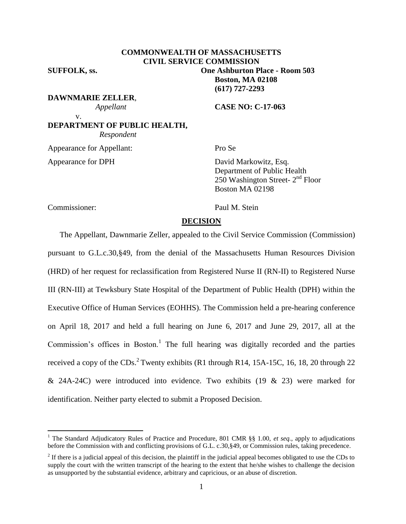# **COMMONWEALTH OF MASSACHUSETTS CIVIL SERVICE COMMISSION**

**SUFFOLK, ss. One Ashburton Place - Room 503**

**DAWNMARIE ZELLER**,

 *Appellant* **CASE NO: C-17-063**

**Boston, MA 02108 (617) 727-2293**

**DEPARTMENT OF PUBLIC HEALTH,**  *Respondent*

Appearance for Appellant: Pro Se

v.

Appearance for DPH David Markowitz, Esq. Department of Public Health  $250$  Washington Street-  $2<sup>nd</sup>$  Floor Boston MA 02198

Commissioner: Paul M. Stein

 $\overline{a}$ 

#### **DECISION**

The Appellant, Dawnmarie Zeller, appealed to the Civil Service Commission (Commission) pursuant to G.L.c.30,§49, from the denial of the Massachusetts Human Resources Division (HRD) of her request for reclassification from Registered Nurse II (RN-II) to Registered Nurse III (RN-III) at Tewksbury State Hospital of the Department of Public Health (DPH) within the Executive Office of Human Services (EOHHS). The Commission held a pre-hearing conference on April 18, 2017 and held a full hearing on June 6, 2017 and June 29, 2017, all at the Commission's offices in Boston.<sup>1</sup> The full hearing was digitally recorded and the parties received a copy of the CDs.<sup>2</sup> Twenty exhibits (R1 through R14, 15A-15C, 16, 18, 20 through 22 & 24A-24C) were introduced into evidence. Two exhibits  $(19 \& 23)$  were marked for identification. Neither party elected to submit a Proposed Decision.

<sup>&</sup>lt;sup>1</sup> The Standard Adjudicatory Rules of Practice and Procedure, 801 CMR §§ 1.00, *et seq.*, apply to adjudications before the Commission with and conflicting provisions of G.L. c.30,§49, or Commission rules, taking precedence.

 $2<sup>2</sup>$  If there is a judicial appeal of this decision, the plaintiff in the judicial appeal becomes obligated to use the CDs to supply the court with the written transcript of the hearing to the extent that he/she wishes to challenge the decision as unsupported by the substantial evidence, arbitrary and capricious, or an abuse of discretion.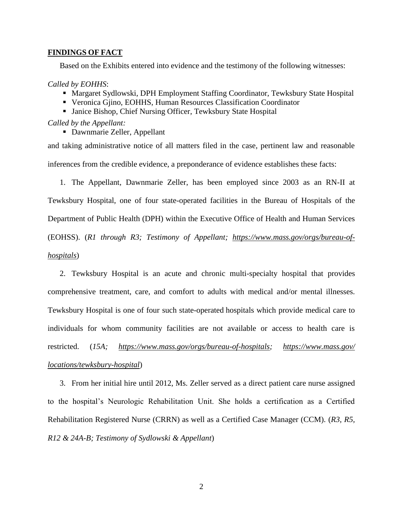#### **FINDINGS OF FACT**

Based on the Exhibits entered into evidence and the testimony of the following witnesses:

#### *Called by EOHHS*:

- Margaret Sydlowski, DPH Employment Staffing Coordinator, Tewksbury State Hospital
- Veronica Gjino, EOHHS, Human Resources Classification Coordinator
- Janice Bishop, Chief Nursing Officer, Tewksbury State Hospital

#### *Called by the Appellant:*

Dawnmarie Zeller, Appellant

and taking administrative notice of all matters filed in the case, pertinent law and reasonable inferences from the credible evidence, a preponderance of evidence establishes these facts:

1. The Appellant, Dawnmarie Zeller, has been employed since 2003 as an RN-II at Tewksbury Hospital, one of four state-operated facilities in the Bureau of Hospitals of the Department of Public Health (DPH) within the Executive Office of Health and Human Services

(EOHSS). (*R1 through R3; Testimony of Appellant; [https://www.mass.gov/orgs/bureau-of-](https://www.mass.gov/orgs/bureau-of-hospitals)*

## *[hospitals](https://www.mass.gov/orgs/bureau-of-hospitals)*)

2. Tewksbury Hospital is an acute and chronic multi-specialty hospital that provides comprehensive treatment, care, and comfort to adults with medical and/or mental illnesses. Tewksbury Hospital is one of four such state-operated hospitals which provide medical care to individuals for whom community facilities are not available or access to health care is restricted. (*15A; [https://www.mass.gov/orgs/bureau-of-hospitals;](https://www.mass.gov/orgs/bureau-of-hospitals) [https://www.mass.gov/](https://www.mass.gov/%20locations/tewksbury-hospital)  [locations/tewksbury-hospital](https://www.mass.gov/%20locations/tewksbury-hospital)*)

3. From her initial hire until 2012, Ms. Zeller served as a direct patient care nurse assigned to the hospital's Neurologic Rehabilitation Unit. She holds a certification as a Certified Rehabilitation Registered Nurse (CRRN) as well as a Certified Case Manager (CCM). (*R3, R5, R12 & 24A-B; Testimony of Sydlowski & Appellant*)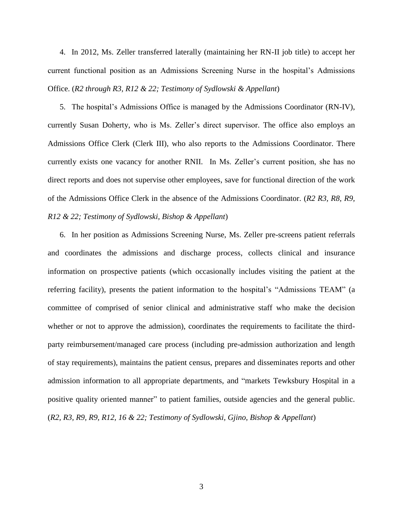4. In 2012, Ms. Zeller transferred laterally (maintaining her RN-II job title) to accept her current functional position as an Admissions Screening Nurse in the hospital's Admissions Office. (*R2 through R3, R12 & 22; Testimony of Sydlowski & Appellant*)

5. The hospital's Admissions Office is managed by the Admissions Coordinator (RN-IV), currently Susan Doherty, who is Ms. Zeller's direct supervisor. The office also employs an Admissions Office Clerk (Clerk III), who also reports to the Admissions Coordinator. There currently exists one vacancy for another RNII. In Ms. Zeller's current position, she has no direct reports and does not supervise other employees, save for functional direction of the work of the Admissions Office Clerk in the absence of the Admissions Coordinator. (*R2 R3, R8, R9, R12 & 22; Testimony of Sydlowski, Bishop & Appellant*)

6. In her position as Admissions Screening Nurse, Ms. Zeller pre-screens patient referrals and coordinates the admissions and discharge process, collects clinical and insurance information on prospective patients (which occasionally includes visiting the patient at the referring facility), presents the patient information to the hospital's "Admissions TEAM" (a committee of comprised of senior clinical and administrative staff who make the decision whether or not to approve the admission), coordinates the requirements to facilitate the thirdparty reimbursement/managed care process (including pre-admission authorization and length of stay requirements), maintains the patient census, prepares and disseminates reports and other admission information to all appropriate departments, and "markets Tewksbury Hospital in a positive quality oriented manner" to patient families, outside agencies and the general public. (*R2, R3, R9, R9, R12, 16 & 22; Testimony of Sydlowski, Gjino, Bishop & Appellant*)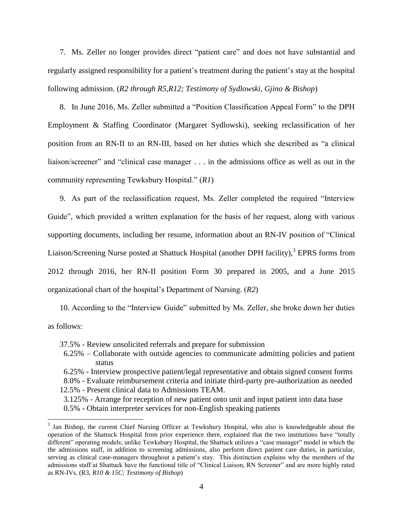7. Ms. Zeller no longer provides direct "patient care" and does not have substantial and regularly assigned responsibility for a patient's treatment during the patient's stay at the hospital following admission. (*R2 through R5,R12; Testimony of Sydlowski, Gjino & Bishop*)

8. In June 2016, Ms. Zeller submitted a "Position Classification Appeal Form" to the DPH Employment & Staffing Coordinator (Margaret Sydlowski), seeking reclassification of her position from an RN-II to an RN-III, based on her duties which she described as "a clinical liaison/screener" and "clinical case manager . . . in the admissions office as well as out in the community representing Tewksbury Hospital." (*R1*)

9. As part of the reclassification request, Ms. Zeller completed the required "Interview Guide", which provided a written explanation for the basis of her request, along with various supporting documents, including her resume, information about an RN-IV position of "Clinical Liaison/Screening Nurse posted at Shattuck Hospital (another DPH facility),<sup>3</sup> EPRS forms from 2012 through 2016, her RN-II position Form 30 prepared in 2005, and a June 2015 organizational chart of the hospital's Department of Nursing. (*R2*)

10. According to the "Interview Guide" submitted by Ms. Zeller, she broke down her duties as follows:

- 37.5% Review unsolicited referrals and prepare for submission
- 6.25% Collaborate with outside agencies to communicate admitting policies and patient status
- 6.25% Interview prospective patient/legal representative and obtain signed consent forms

8.0% - Evaluate reimbursement criteria and initiate third-party pre-authorization as needed

12.5% - Present clinical data to Admissions TEAM.

 $\overline{a}$ 

3.125% - Arrange for reception of new patient onto unit and input patient into data base 0.5% - Obtain interpreter services for non-English speaking patients

 $3$  Jan Bishop, the current Chief Nursing Officer at Tewksbury Hospital, who also is knowledgeable about the operation of the Shattuck Hospital from prior experience there, explained that the two institutions have "totally different" operating models; unlike Tewksbury Hospital, the Shattuck utilizes a "case manager" model in which the the admissions staff, in addition to screening admissions, also perform direct patient care duties, in particular, serving as clinical case-managers throughout a patient's stay. This distinction explains why the members of the admissions staff at Shattuck have the functional title of "Clinical Liaison, RN Screener" and are more highly rated as RN-IVs. (R3, *R10 & 15C; Testimony of Bishop*)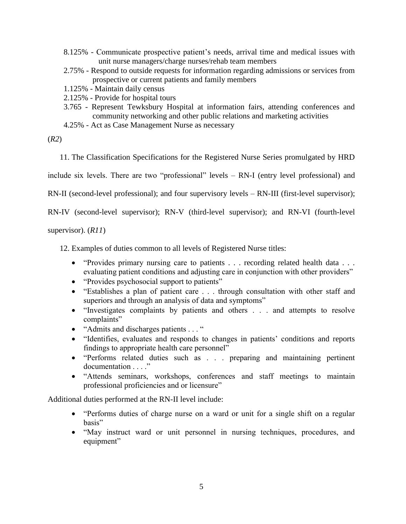- 8.125% Communicate prospective patient's needs, arrival time and medical issues with unit nurse managers/charge nurses/rehab team members
- 2.75% Respond to outside requests for information regarding admissions or services from prospective or current patients and family members
- 1.125% Maintain daily census
- 2.125% Provide for hospital tours
- 3.765 Represent Tewksbury Hospital at information fairs, attending conferences and community networking and other public relations and marketing activities
- 4.25% Act as Case Management Nurse as necessary

(*R2*)

11. The Classification Specifications for the Registered Nurse Series promulgated by HRD

include six levels. There are two "professional" levels – RN-I (entry level professional) and

RN-II (second-level professional); and four supervisory levels – RN-III (first-level supervisor);

RN-IV (second-level supervisor); RN-V (third-level supervisor); and RN-VI (fourth-level

supervisor). (*R11*)

12. Examples of duties common to all levels of Registered Nurse titles:

- "Provides primary nursing care to patients . . . recording related health data . . . evaluating patient conditions and adjusting care in conjunction with other providers"
- "Provides psychosocial support to patients"
- "Establishes a plan of patient care . . . through consultation with other staff and superiors and through an analysis of data and symptoms"
- "Investigates complaints by patients and others . . . and attempts to resolve complaints"
- "Admits and discharges patients . . . "
- "Identifies, evaluates and responds to changes in patients' conditions and reports findings to appropriate health care personnel"
- "Performs related duties such as . . . preparing and maintaining pertinent documentation . . . ."
- "Attends seminars, workshops, conferences and staff meetings to maintain professional proficiencies and or licensure"

Additional duties performed at the RN-II level include:

- "Performs duties of charge nurse on a ward or unit for a single shift on a regular basis"
- "May instruct ward or unit personnel in nursing techniques, procedures, and equipment"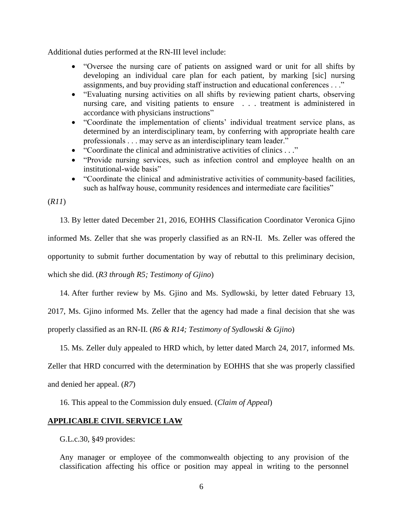Additional duties performed at the RN-III level include:

- "Oversee the nursing care of patients on assigned ward or unit for all shifts by developing an individual care plan for each patient, by marking [sic] nursing assignments, and buy providing staff instruction and educational conferences . . ."
- "Evaluating nursing activities on all shifts by reviewing patient charts, observing nursing care, and visiting patients to ensure . . . treatment is administered in accordance with physicians instructions"
- "Coordinate the implementation of clients' individual treatment service plans, as determined by an interdisciplinary team, by conferring with appropriate health care professionals . . . may serve as an interdisciplinary team leader."
- "Coordinate the clinical and administrative activities of clinics . . ."
- "Provide nursing services, such as infection control and employee health on an institutional-wide basis"
- "Coordinate the clinical and administrative activities of community-based facilities, such as halfway house, community residences and intermediate care facilities"

(*R11*)

13. By letter dated December 21, 2016, EOHHS Classification Coordinator Veronica Gjino informed Ms. Zeller that she was properly classified as an RN-II. Ms. Zeller was offered the opportunity to submit further documentation by way of rebuttal to this preliminary decision, which she did. (*R3 through R5; Testimony of Gjino*)

14. After further review by Ms. Gjino and Ms. Sydlowski, by letter dated February 13,

2017, Ms. Gjino informed Ms. Zeller that the agency had made a final decision that she was properly classified as an RN-II. (*R6 & R14; Testimony of Sydlowski & Gjino*)

15. Ms. Zeller duly appealed to HRD which, by letter dated March 24, 2017, informed Ms. Zeller that HRD concurred with the determination by EOHHS that she was properly classified and denied her appeal. (*R7*)

16. This appeal to the Commission duly ensued. (*Claim of Appeal*)

## **APPLICABLE CIVIL SERVICE LAW**

G.L.c.30, §49 provides:

Any manager or employee of the commonwealth objecting to any provision of the classification affecting his office or position may appeal in writing to the personnel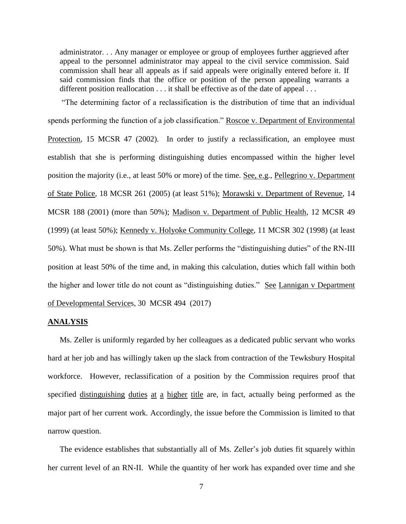administrator. . . Any manager or employee or group of employees further aggrieved after appeal to the personnel administrator may appeal to the civil service commission. Said commission shall hear all appeals as if said appeals were originally entered before it. If said commission finds that the office or position of the person appealing warrants a different position reallocation . . . it shall be effective as of the date of appeal . . .

"The determining factor of a reclassification is the distribution of time that an individual spends performing the function of a job classification." Roscoe v. Department of Environmental Protection, 15 MCSR 47 (2002). In order to justify a reclassification, an employee must establish that she is performing distinguishing duties encompassed within the higher level position the majority (i.e., at least 50% or more) of the time. See, e.g., Pellegrino v. Department of State Police, 18 MCSR 261 (2005) (at least 51%); Morawski v. Department of Revenue, 14 MCSR 188 (2001) (more than 50%); Madison v. Department of Public Health, 12 MCSR 49 (1999) (at least 50%); Kennedy v. Holyoke Community College, 11 MCSR 302 (1998) (at least 50%). What must be shown is that Ms. Zeller performs the "distinguishing duties" of the RN-III position at least 50% of the time and, in making this calculation, duties which fall within both the higher and lower title do not count as "distinguishing duties." See Lannigan v Department of Developmental Services, 30 MCSR 494 (2017)

## **ANALYSIS**

Ms. Zeller is uniformly regarded by her colleagues as a dedicated public servant who works hard at her job and has willingly taken up the slack from contraction of the Tewksbury Hospital workforce. However, reclassification of a position by the Commission requires proof that specified distinguishing duties at a higher title are, in fact, actually being performed as the major part of her current work. Accordingly, the issue before the Commission is limited to that narrow question.

The evidence establishes that substantially all of Ms. Zeller's job duties fit squarely within her current level of an RN-II. While the quantity of her work has expanded over time and she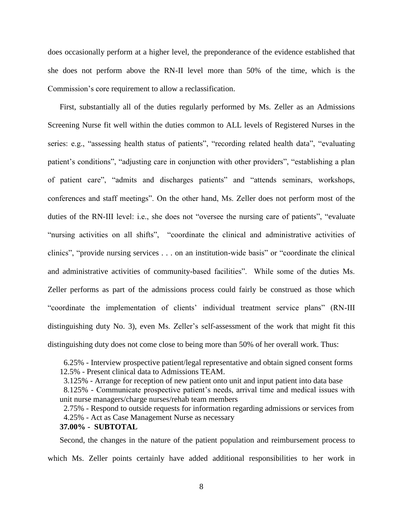does occasionally perform at a higher level, the preponderance of the evidence established that she does not perform above the RN-II level more than 50% of the time, which is the Commission's core requirement to allow a reclassification.

First, substantially all of the duties regularly performed by Ms. Zeller as an Admissions Screening Nurse fit well within the duties common to ALL levels of Registered Nurses in the series: e.g., "assessing health status of patients", "recording related health data", "evaluating patient's conditions", "adjusting care in conjunction with other providers", "establishing a plan of patient care", "admits and discharges patients" and "attends seminars, workshops, conferences and staff meetings". On the other hand, Ms. Zeller does not perform most of the duties of the RN-III level: i.e., she does not "oversee the nursing care of patients", "evaluate "nursing activities on all shifts", "coordinate the clinical and administrative activities of clinics", "provide nursing services . . . on an institution-wide basis" or "coordinate the clinical and administrative activities of community-based facilities". While some of the duties Ms. Zeller performs as part of the admissions process could fairly be construed as those which "coordinate the implementation of clients' individual treatment service plans" (RN-III distinguishing duty No. 3), even Ms. Zeller's self-assessment of the work that might fit this distinguishing duty does not come close to being more than 50% of her overall work. Thus:

 6.25% - Interview prospective patient/legal representative and obtain signed consent forms 12.5% - Present clinical data to Admissions TEAM.

3.125% - Arrange for reception of new patient onto unit and input patient into data base

 8.125% - Communicate prospective patient's needs, arrival time and medical issues with unit nurse managers/charge nurses/rehab team members

 2.75% - Respond to outside requests for information regarding admissions or services from 4.25% - Act as Case Management Nurse as necessary **37.00% - SUBTOTAL**

Second, the changes in the nature of the patient population and reimbursement process to which Ms. Zeller points certainly have added additional responsibilities to her work in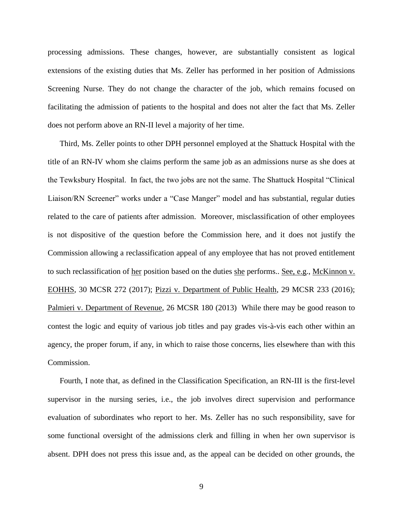processing admissions. These changes, however, are substantially consistent as logical extensions of the existing duties that Ms. Zeller has performed in her position of Admissions Screening Nurse. They do not change the character of the job, which remains focused on facilitating the admission of patients to the hospital and does not alter the fact that Ms. Zeller does not perform above an RN-II level a majority of her time.

Third, Ms. Zeller points to other DPH personnel employed at the Shattuck Hospital with the title of an RN-IV whom she claims perform the same job as an admissions nurse as she does at the Tewksbury Hospital. In fact, the two jobs are not the same. The Shattuck Hospital "Clinical Liaison/RN Screener" works under a "Case Manger" model and has substantial, regular duties related to the care of patients after admission. Moreover, misclassification of other employees is not dispositive of the question before the Commission here, and it does not justify the Commission allowing a reclassification appeal of any employee that has not proved entitlement to such reclassification of her position based on the duties she performs.. See, e.g., McKinnon v. EOHHS, 30 MCSR 272 (2017); Pizzi v. Department of Public Health, 29 MCSR 233 (2016); Palmieri v. Department of Revenue, 26 MCSR 180 (2013) While there may be good reason to contest the logic and equity of various job titles and pay grades vis-à-vis each other within an agency, the proper forum, if any, in which to raise those concerns, lies elsewhere than with this Commission.

Fourth, I note that, as defined in the Classification Specification, an RN-III is the first-level supervisor in the nursing series, i.e., the job involves direct supervision and performance evaluation of subordinates who report to her. Ms. Zeller has no such responsibility, save for some functional oversight of the admissions clerk and filling in when her own supervisor is absent. DPH does not press this issue and, as the appeal can be decided on other grounds, the